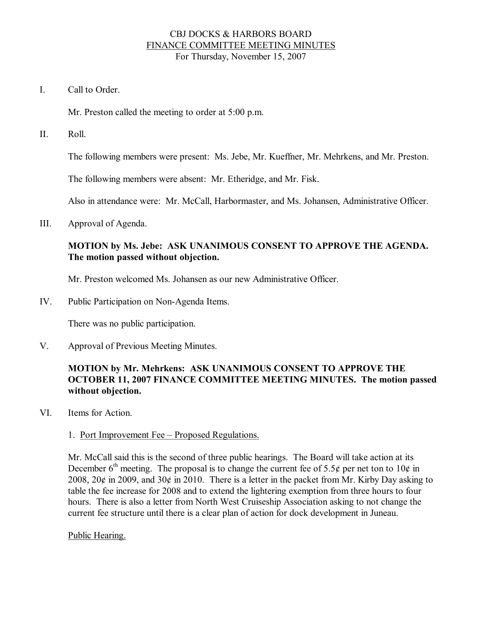## CBJ DOCKS & HARBORS BOARD FINANCE COMMITTEE MEETING MINUTES For Thursday, November 15, 2007

I. Call to Order

Mr. Preston called the meeting to order at 5:00 p.m.

II. Roll.

The following members were present: Ms. Jebe, Mr. Kueffner, Mr. Mehrkens, and Mr. Preston.

The following members were absent: Mr. Etheridge, and Mr. Fisk.

Also in attendance were: Mr. McCall, Harbormaster, and Ms. Johansen, Administrative Officer.

III. Approval of Agenda.

## **MOTION by Ms. Jebe: ASK UNANIMOUS CONSENT TO APPROVE THE AGENDA. The motion passed without objection.**

Mr. Preston welcomed Ms. Johansen as our new Administrative Officer.

IV. Public Participation on Non-Agenda Items.

There was no public participation.

V. Approval of Previous Meeting Minutes.

# **MOTION by Mr. Mehrkens: ASK UNANIMOUS CONSENT TO APPROVE THE OCTOBER 11, 2007 FINANCE COMMITTEE MEETING MINUTES. The motion passed without objection.**

VI. Items for Action.

#### 1. Port Improvement Fee – Proposed Regulations.

Mr. McCall said this is the second of three public hearings. The Board will take action at its December  $6<sup>th</sup>$  meeting. The proposal is to change the current fee of 5.5¢ per net ton to 10¢ in 2008,  $20¢$  in 2009, and  $30¢$  in 2010. There is a letter in the packet from Mr. Kirby Day asking to table the fee increase for 2008 and to extend the lightering exemption from three hours to four hours. There is also a letter from North West Cruiseship Association asking to not change the current fee structure until there is a clear plan of action for dock development in Juneau.

#### Public Hearing.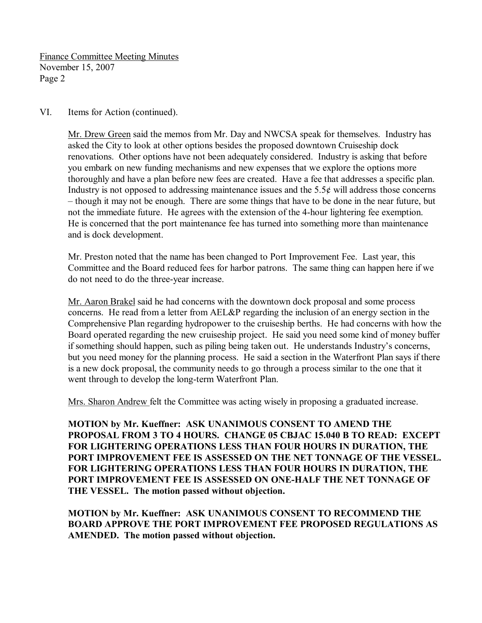Finance Committee Meeting Minutes November 15, 2007 Page 2

VI. Items for Action (continued).

Mr. Drew Green said the memos from Mr. Day and NWCSA speak for themselves. Industry has asked the City to look at other options besides the proposed downtown Cruiseship dock renovations. Other options have not been adequately considered. Industry is asking that before you embark on new funding mechanisms and new expenses that we explore the options more thoroughly and have a plan before new fees are created. Have a fee that addresses a specific plan. Industry is not opposed to addressing maintenance issues and the  $5.5¢$  will address those concerns – though it may not be enough. There are some things that have to be done in the near future, but not the immediate future. He agrees with the extension of the 4-hour lightering fee exemption. He is concerned that the port maintenance fee has turned into something more than maintenance and is dock development.

Mr. Preston noted that the name has been changed to Port Improvement Fee. Last year, this Committee and the Board reduced fees for harbor patrons. The same thing can happen here if we do not need to do the three-year increase.

Mr. Aaron Brakel said he had concerns with the downtown dock proposal and some process concerns. He read from a letter from AEL&P regarding the inclusion of an energy section in the Comprehensive Plan regarding hydropower to the cruiseship berths. He had concerns with how the Board operated regarding the new cruiseship project. He said you need some kind of money buffer if something should happen, such as piling being taken out. He understands Industry's concerns, but you need money for the planning process. He said a section in the Waterfront Plan says if there is a new dock proposal, the community needs to go through a process similar to the one that it went through to develop the long-term Waterfront Plan.

Mrs. Sharon Andrew felt the Committee was acting wisely in proposing a graduated increase.

**MOTION by Mr. Kueffner: ASK UNANIMOUS CONSENT TO AMEND THE PROPOSAL FROM 3 TO 4 HOURS. CHANGE 05 CBJAC 15.040 B TO READ: EXCEPT FOR LIGHTERING OPERATIONS LESS THAN FOUR HOURS IN DURATION, THE PORT IMPROVEMENT FEE IS ASSESSED ON THE NET TONNAGE OF THE VESSEL. FOR LIGHTERING OPERATIONS LESS THAN FOUR HOURS IN DURATION, THE PORT IMPROVEMENT FEE IS ASSESSED ON ONEHALF THE NET TONNAGE OF THE VESSEL. The motion passed without objection.**

**MOTION by Mr. Kueffner: ASK UNANIMOUS CONSENT TO RECOMMEND THE BOARD APPROVE THE PORT IMPROVEMENT FEE PROPOSED REGULATIONS AS AMENDED. The motion passed without objection.**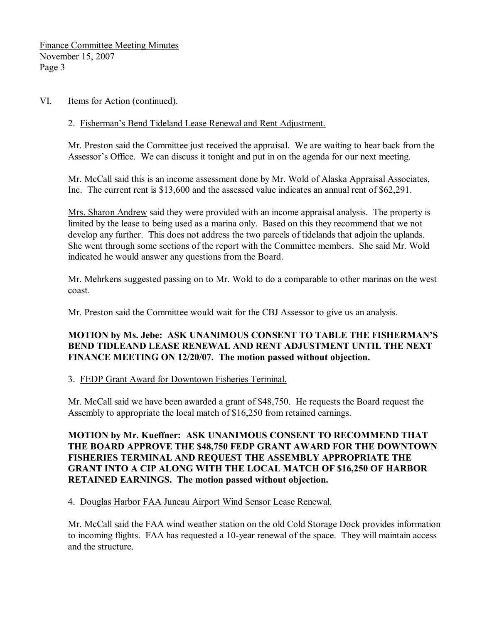VI. Items for Action (continued).

## 2. Fisherman's Bend Tideland Lease Renewal and Rent Adjustment.

Mr. Preston said the Committee just received the appraisal. We are waiting to hear back from the Assessor's Office. We can discuss it tonight and put in on the agenda for our next meeting.

Mr. McCall said this is an income assessment done by Mr. Wold of Alaska Appraisal Associates, Inc. The current rent is \$13,600 and the assessed value indicates an annual rent of \$62,291.

Mrs. Sharon Andrew said they were provided with an income appraisal analysis. The property is limited by the lease to being used as a marina only. Based on this they recommend that we not develop any further. This does not address the two parcels of tidelands that adjoin the uplands. She went through some sections of the report with the Committee members. She said Mr. Wold indicated he would answer any questions from the Board.

Mr. Mehrkens suggested passing on to Mr. Wold to do a comparable to other marinas on the west coast.

Mr. Preston said the Committee would wait for the CBJ Assessor to give us an analysis.

# **MOTION by Ms. Jebe: ASK UNANIMOUS CONSENT TO TABLE THE FISHERMAN'S BEND TIDLEAND LEASE RENEWAL AND RENT ADJUSTMENT UNTIL THE NEXT FINANCE MEETING ON 12/20/07. The motion passed without objection.**

### 3. FEDP Grant Award for Downtown Fisheries Terminal.

Mr. McCall said we have been awarded a grant of \$48,750. He requests the Board request the Assembly to appropriate the local match of \$16,250 from retained earnings.

**MOTION by Mr. Kueffner: ASK UNANIMOUS CONSENT TO RECOMMEND THAT THE BOARD APPROVE THE \$48,750 FEDP GRANT AWARD FOR THE DOWNTOWN FISHERIES TERMINAL AND REQUEST THE ASSEMBLY APPROPRIATE THE GRANT INTO A CIP ALONG WITH THE LOCAL MATCH OF \$16,250 OF HARBOR RETAINED EARNINGS. The motion passed without objection.**

4. Douglas Harbor FAA Juneau Airport Wind Sensor Lease Renewal.

Mr. McCall said the FAA wind weather station on the old Cold Storage Dock provides information to incoming flights. FAA has requested a 10-year renewal of the space. They will maintain access and the structure.